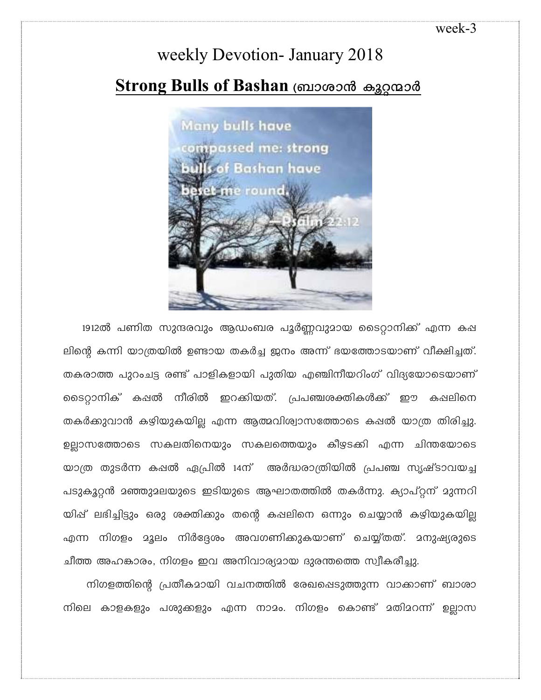## weekly Devotion- January 2018 **Strong Bulls of Bashan** ബ്രാശാൻ കുറ്റന്മാർ



1912ൽ പണിത സുന്ദരവും ആഡംബര പൂർണ്ണവുമായ ടൈറ്റാനിക്ക് എന്ന കഷ ലിന്റെ കന്നി യാത്രയിൽ ഉണ്ടായ തകർച്ച ജനം അന്ന് ഭയത്തോടയാണ് വീക്ഷിച്ചത്. തകരാത്ത പുറംചട്ട രണ്ട് പാളികളായി പുതിയ എഞ്ചിനീയറിംഗ് വിദ്യയോടെയാണ് ടൈറ്റാനിക് കഷൽ നീരിൽ ഇറക്കിയത്. പ്രപഞ്ചശക്തികൾക്ക് ഈ കഷലിനെ തകർക്കുവാൻ കഴിയുകയില്ല എന്ന ആത്മവിശ്വാസത്തോടെ കഷൽ യാത്ര തിരിച്ചു. ഉല്ലാസത്തോടെ സകലതിനെയും സകലത്തെയും കീഴടക്കി എന്ന ചിന്തയോടെ യാത്ര തുടർന്ന കഷൽ ഏപ്രിൽ 14ന് അർദ്ധരാത്രിയിൽ പ്രപഞ്ച സൃഷ്ടാവയച്ച പടുകൂറ്റൻ മഞ്ഞുമലയുടെ ഇടിയുടെ ആഘാതത്തിൽ തകർന്നു. ക്യാപ്റ്റന് മുന്നറി യിഷ് ലഭിച്ചിട്ടും ഒരു ശക്തിക്കും തന്റെ കഷലിനെ ഒന്നും ചെയ്യാൻ കഴിയുകയില്ല എന്ന നിഗളം മൂലം നിർദ്ദേശം അവഗണിക്കുകയാണ് ചെയ്യ്തത്. മനുഷ്യരുടെ ചീത്ത അഹങ്കാരം, നിഗളം ഇവ അനിവാര്യമായ ദുരന്തത്തെ സ്വീകരീച്ചു.

നിഗളത്തിന്റെ പ്രതീകമായി വചനത്തിൽ രേഖപ്പെടുത്തുന്ന വാക്കാണ് ബാശാ നിലെ കാളകളും പശുക്കളും എന്ന നാമം. നിഗളം കൊണ്ട് മതിമറന്ന് ഉല്ലാസ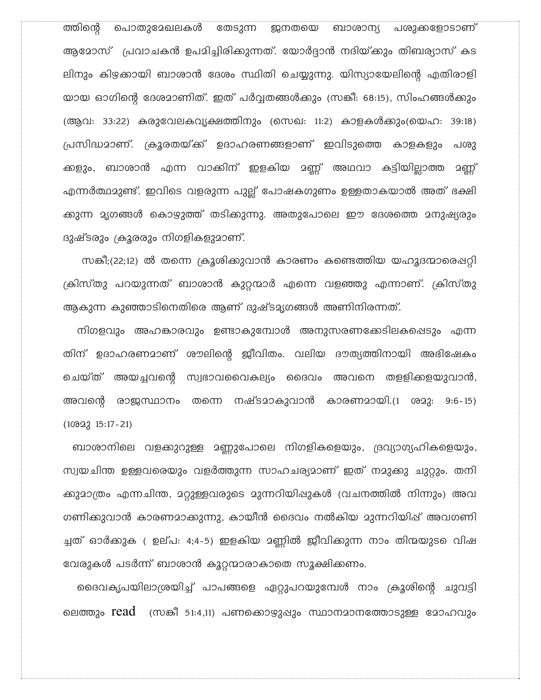പൊതുദേഖലകൾ തേടുന്ന ത്തിന്റെ ജനതയെ ബാശാന്യ പശുക്കളോടാണ് ആമോസ് പ്രവാചകൻ ഉപമിച്ചിരിക്കുന്നത്. യോർദ്ദാൻ നദിയ്ക്കും തിബര്യാസ് കട ലിനും കിഴക്കായി ബാശാൻ ദേശം സ്ഥിതി ചെയ്യുന്നു. യിസ്യായേലിന്റെ എതിരാളി യായ ഓഗിന്റെ ദേശമാണിത്. ഇത് പർവ്വതങ്ങൾക്കും (സങ്കീ: 68:15), സിംഹങ്ങൾക്കും (ആവ: 33:22) കരുവേലകവൃക്ഷത്തിനും (സെഖ: 11:2) കാളകൾക്കും(യെഹ: 39:18) പ്രസിദ്ധമാണ്. ക്രൂരതയ്ക്ക് ഉദാഹരണങ്ങളാണ് ഇവിടുത്തെ കാളകളും പശു ക്കളും, ബാശാൻ എന്ന വാക്കിന് ഇളകിയ മണ്ണ് അഥവാ കട്ടിയില്ലാത്ത മണ്ണ് എന്നർത്ഥമുണ്ട്. ഇവിടെ വളരുന്ന പുല്ല് പോഷകഗുണം ഉള്ളതാകയാൽ അത് ഭക്ഷി ക്കുന്ന മൃഗങ്ങൾ കൊഴുത്ത് തടിക്കുന്നു. അതുപോലെ ഈ ദേശത്തെ മനുഷ്യരും ദുഷ്ടരും ക്രൂരരും നിഗളികളുമാണ്.

സങ്കീ;(22;12) ൽ തന്നെ ക്രൂശിക്കുവാൻ കാരണം കണ്ടെത്തിയ യഹൂദന്മാരെഷറ്റി ക്രിസ്തു പറയുന്നത് ബാശാൻ കുറ്റന്മാർ എന്നെ വളഞ്ഞു എന്നാണ്. ക്രിസ്തു ആകുന്ന കുഞ്ഞാടിനെതിരെ ആണ് ദുഷ്ടമൃഗങ്ങൾ അണിനിരന്നത്.

നിഗളവും അഹങ്കാരവും ഉണ്ടാകുമ്പോൾ അനുസരണക്കേടിലകപ്പെടും എന്ന തിന് ഉദാഹരണമാണ് ശൗലിന്റെ ജീവിതം. വലിയ ദൗത്യത്തിനായി അഭിഷേകം ചെയ്ത് അയച്ചവന്റെ സ്വഭാവവൈകല്യം ദൈവം അവനെ തളളിക്കളയുവാൻ, അവന്റെ രാജസ്ഥാനം തന്നെ നഷ്ടമാകുവാൻ കാരണമായി.(1 ശമു: 9:6-15)  $(10022 15:17-21)$ 

ബാശാനിലെ വളക്കുറുള്ള മണ്ണുപോലെ നിഗളികളെയും, ദ്രവ്യാഗ്യഹികളെയും, സ്വയചിന്ത ഉള്ളവരെയും വളർത്തുന്ന സാഹചര്യമാണ് ഇത് നമുക്കു ചുറ്റും. തനി ക്കുമാത്രം എന്നചിന്ത, മറ്റുള്ളവരുടെ മുന്നറിയിഷുകൾ (വചനത്തിൽ നിന്നും) അവ ഗണിക്കുവാൻ കാരണമാക്കുന്നു, കായീൻ ദൈവം നൽകിയ മുന്നറിയിഷ് അവഗണി ച്ചത് ഓർക്കുക ( ഉല്പ: 4;4-5) ഇളകിയ മണ്ണിൽ ജീവിക്കുന്ന നാം തിന്മയുടെ വിഷ വേരുകൾ പടർന്ന് ബാശാൻ കൂറ്റന്മാരാകാതെ സൂക്ഷിക്കണം.

ദൈവകൃപയിലാശ്രയിച്ച് പാപങ്ങളെ ഏറ്റുപറയുമ്പേൾ നാം ക്രൂശിന്റെ ചുവട്ടി ലെത്തും  $read$  (സങ്കീ 51:4,11) പണക്കൊഴുപ്പും സ്ഥാനമാനത്തോടുള്ള മോഹവും